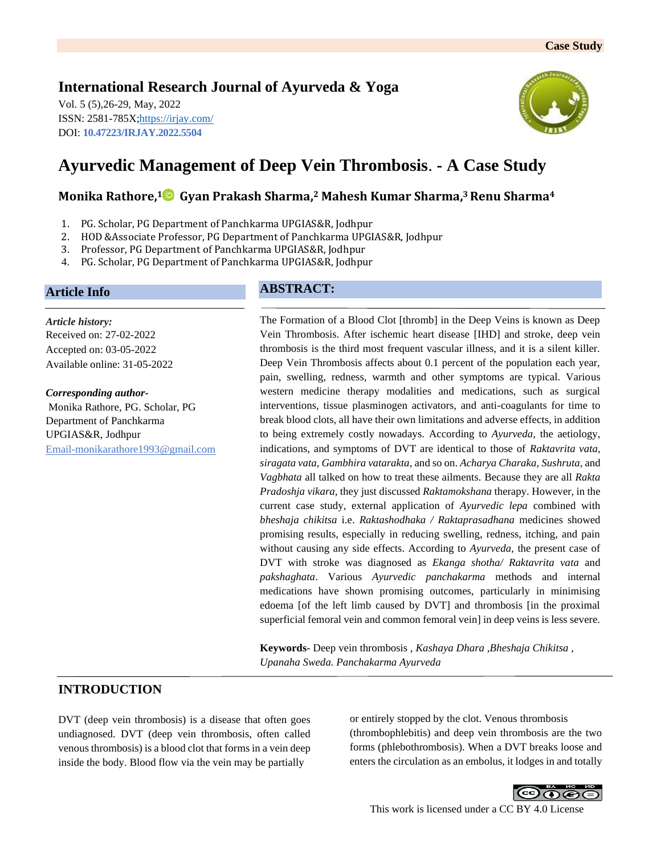## **International Research Journal of Ayurveda & Yoga**

Vol. 5 (5),26-29, May, 2022 ISSN: 2581-785X[; https://irjay.com/](https://irjay.com/) DOI: **10.47223/IRJAY.2022.5504**



# **Ayurvedic Management of Deep Vein Thrombosis**. **- A Case Study**

## **Monika Rathore, <sup>1</sup> Gyan Prakash Sharma, <sup>2</sup> Mahesh Kumar Sharma, <sup>3</sup>Renu Sharma<sup>4</sup>**

- 1. PG. Scholar, PG Department of Panchkarma UPGIAS&R, Jodhpur
- 2. HOD &Associate Professor, PG Department of Panchkarma UPGIAS&R, Jodhpur
- 3. Professor, PG Department of Panchkarma UPGIAS&R, Jodhpur
- 4. PG. Scholar, PG Department of Panchkarma UPGIAS&R, Jodhpur

## **Article Info**

*Article history:* Received on: 27-02-2022 Accepted on: 03-05-2022 Available online: 31-05-2022

*Corresponding author-*Monika Rathore, PG. Scholar, PG Department of Panchkarma UPGIAS&R, Jodhpur Email-monikarathore1993@gmail.com

## **ABSTRACT:**

The Formation of a Blood Clot [thromb] in the Deep Veins is known as Deep Vein Thrombosis. After ischemic heart disease [IHD] and stroke, deep vein thrombosis is the third most frequent vascular illness, and it is a silent killer. Deep Vein Thrombosis affects about 0.1 percent of the population each year, pain, swelling, redness, warmth and other symptoms are typical. Various western medicine therapy modalities and medications, such as surgical interventions, tissue plasminogen activators, and anti-coagulants for time to break blood clots, all have their own limitations and adverse effects, in addition to being extremely costly nowadays. According to *Ayurveda,* the aetiology, indications, and symptoms of DVT are identical to those of *Raktavrita vata, siragata vata, Gambhira vatarakta*, and so on. *Acharya Charaka, Sushruta*, and *Vagbhata* all talked on how to treat these ailments. Because they are all *Rakta Pradoshja vikara,* they just discussed *Raktamokshana* therapy. However, in the current case study, external application of *Ayurvedic lepa* combined with *bheshaja chikitsa* i.e. *Raktashodhaka / Raktaprasadhana* medicines showed promising results, especially in reducing swelling, redness, itching, and pain without causing any side effects. According to *Ayurveda*, the present case of DVT with stroke was diagnosed as *Ekanga shotha/ Raktavrita vata* and *pakshaghata*. Various *Ayurvedic panchakarma* methods and internal medications have shown promising outcomes, particularly in minimising edoema [of the left limb caused by DVT] and thrombosis [in the proximal superficial femoral vein and common femoral vein] in deep veins is less severe.

**Keywords**- Deep vein thrombosis , *Kashaya Dhara ,Bheshaja Chikitsa , Upanaha Sweda. Panchakarma Ayurveda*

## **INTRODUCTION**

DVT (deep vein thrombosis) is a disease that often goes undiagnosed. DVT (deep vein thrombosis, often called venous thrombosis) is a blood clot that forms in a vein deep inside the body. Blood flow via the vein may be partially

or entirely stopped by the clot. Venous thrombosis (thrombophlebitis) and deep vein thrombosis are the two forms (phlebothrombosis). When a DVT breaks loose and enters the circulation as an embolus, it lodges in and totally



This work is licensed under a CC BY 4.0 License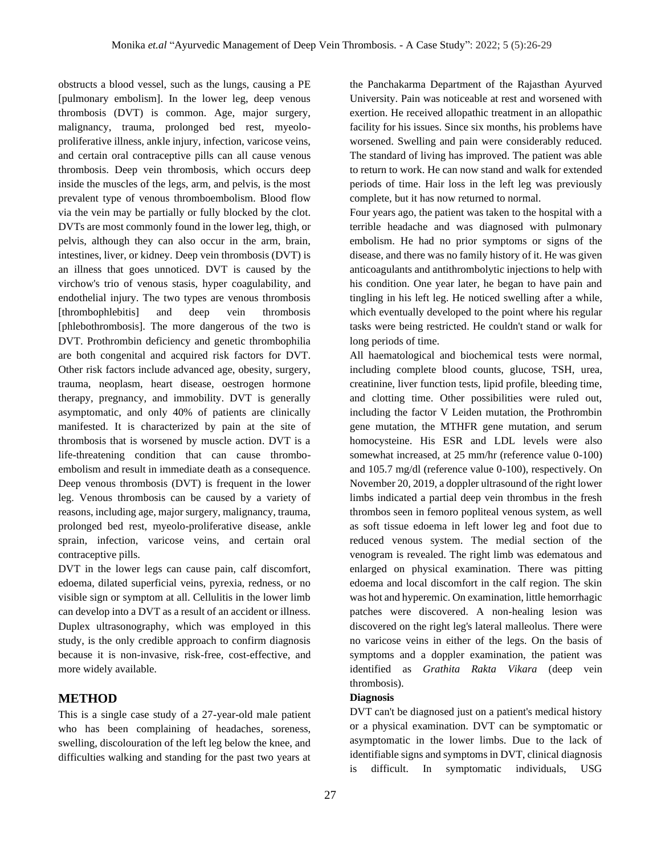obstructs a blood vessel, such as the lungs, causing a PE [pulmonary embolism]. In the lower leg, deep venous thrombosis (DVT) is common. Age, major surgery, malignancy, trauma, prolonged bed rest, myeoloproliferative illness, ankle injury, infection, varicose veins, and certain oral contraceptive pills can all cause venous thrombosis. Deep vein thrombosis, which occurs deep inside the muscles of the legs, arm, and pelvis, is the most prevalent type of venous thromboembolism. Blood flow via the vein may be partially or fully blocked by the clot. DVTs are most commonly found in the lower leg, thigh, or pelvis, although they can also occur in the arm, brain, intestines, liver, or kidney. Deep vein thrombosis (DVT) is an illness that goes unnoticed. DVT is caused by the virchow's trio of venous stasis, hyper coagulability, and endothelial injury. The two types are venous thrombosis [thrombophlebitis] and deep vein thrombosis [phlebothrombosis]. The more dangerous of the two is DVT. Prothrombin deficiency and genetic thrombophilia are both congenital and acquired risk factors for DVT. Other risk factors include advanced age, obesity, surgery, trauma, neoplasm, heart disease, oestrogen hormone therapy, pregnancy, and immobility. DVT is generally asymptomatic, and only 40% of patients are clinically manifested. It is characterized by pain at the site of thrombosis that is worsened by muscle action. DVT is a life-threatening condition that can cause thromboembolism and result in immediate death as a consequence. Deep venous thrombosis (DVT) is frequent in the lower leg. Venous thrombosis can be caused by a variety of reasons, including age, major surgery, malignancy, trauma, prolonged bed rest, myeolo-proliferative disease, ankle sprain, infection, varicose veins, and certain oral contraceptive pills.

DVT in the lower legs can cause pain, calf discomfort, edoema, dilated superficial veins, pyrexia, redness, or no visible sign or symptom at all. Cellulitis in the lower limb can develop into a DVT as a result of an accident or illness. Duplex ultrasonography, which was employed in this study, is the only credible approach to confirm diagnosis because it is non-invasive, risk-free, cost-effective, and more widely available.

## **METHOD**

This is a single case study of a 27-year-old male patient who has been complaining of headaches, soreness, swelling, discolouration of the left leg below the knee, and difficulties walking and standing for the past two years at

the Panchakarma Department of the Rajasthan Ayurved University. Pain was noticeable at rest and worsened with exertion. He received allopathic treatment in an allopathic facility for his issues. Since six months, his problems have worsened. Swelling and pain were considerably reduced. The standard of living has improved. The patient was able to return to work. He can now stand and walk for extended periods of time. Hair loss in the left leg was previously complete, but it has now returned to normal.

Four years ago, the patient was taken to the hospital with a terrible headache and was diagnosed with pulmonary embolism. He had no prior symptoms or signs of the disease, and there was no family history of it. He was given anticoagulants and antithrombolytic injections to help with his condition. One year later, he began to have pain and tingling in his left leg. He noticed swelling after a while, which eventually developed to the point where his regular tasks were being restricted. He couldn't stand or walk for long periods of time.

All haematological and biochemical tests were normal, including complete blood counts, glucose, TSH, urea, creatinine, liver function tests, lipid profile, bleeding time, and clotting time. Other possibilities were ruled out, including the factor V Leiden mutation, the Prothrombin gene mutation, the MTHFR gene mutation, and serum homocysteine. His ESR and LDL levels were also somewhat increased, at 25 mm/hr (reference value 0-100) and 105.7 mg/dl (reference value 0-100), respectively. On November 20, 2019, a doppler ultrasound of the right lower limbs indicated a partial deep vein thrombus in the fresh thrombos seen in femoro popliteal venous system, as well as soft tissue edoema in left lower leg and foot due to reduced venous system. The medial section of the venogram is revealed. The right limb was edematous and enlarged on physical examination. There was pitting edoema and local discomfort in the calf region. The skin was hot and hyperemic. On examination, little hemorrhagic patches were discovered. A non-healing lesion was discovered on the right leg's lateral malleolus. There were no varicose veins in either of the legs. On the basis of symptoms and a doppler examination, the patient was identified as *Grathita Rakta Vikara* (deep vein thrombosis).

#### **Diagnosis**

DVT can't be diagnosed just on a patient's medical history or a physical examination. DVT can be symptomatic or asymptomatic in the lower limbs. Due to the lack of identifiable signs and symptoms in DVT, clinical diagnosis is difficult. In symptomatic individuals, USG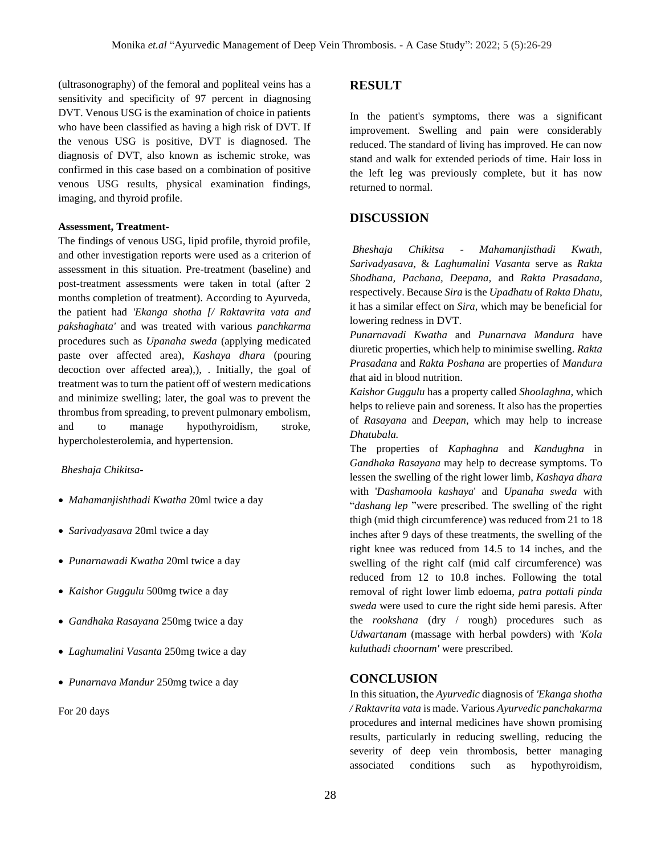(ultrasonography) of the femoral and popliteal veins has a sensitivity and specificity of 97 percent in diagnosing DVT. Venous USG is the examination of choice in patients who have been classified as having a high risk of DVT. If the venous USG is positive, DVT is diagnosed. The diagnosis of DVT, also known as ischemic stroke, was confirmed in this case based on a combination of positive venous USG results, physical examination findings, imaging, and thyroid profile.

#### **Assessment, Treatment-**

The findings of venous USG, lipid profile, thyroid profile, and other investigation reports were used as a criterion of assessment in this situation. Pre-treatment (baseline) and post-treatment assessments were taken in total (after 2 months completion of treatment). According to Ayurveda, the patient had *'Ekanga shotha [/ Raktavrita vata and pakshaghata'* and was treated with various *panchkarma*  procedures such as *Upanaha sweda* (applying medicated paste over affected area), *Kashaya dhara* (pouring decoction over affected area),), . Initially, the goal of treatment was to turn the patient off of western medications and minimize swelling; later, the goal was to prevent the thrombus from spreading, to prevent pulmonary embolism, and to manage hypothyroidism, stroke, hypercholesterolemia, and hypertension.

#### *Bheshaja Chikitsa-*

- *Mahamanjishthadi Kwatha* 20ml twice a day
- *Sarivadyasava* 20ml twice a day
- *Punarnawadi Kwatha* 20ml twice a day
- *Kaishor Guggulu* 500mg twice a day
- *Gandhaka Rasayana* 250mg twice a day
- *Laghumalini Vasanta* 250mg twice a day
- *Punarnava Mandur* 250mg twice a day

For 20 days

#### **RESULT**

In the patient's symptoms, there was a significant improvement. Swelling and pain were considerably reduced. The standard of living has improved. He can now stand and walk for extended periods of time. Hair loss in the left leg was previously complete, but it has now returned to normal.

## **DISCUSSION**

*Bheshaja Chikitsa - Mahamanjisthadi Kwath, Sarivadyasava,* & *Laghumalini Vasanta* serve as *Rakta Shodhana, Pachana, Deepana,* and *Rakta Prasadana*, respectively. Because *Sira* is the *Upadhatu* of *Rakta Dhatu*, it has a similar effect on *Sira*, which may be beneficial for lowering redness in DVT.

*Punarnavadi Kwatha* and *Punarnava Mandura* have diuretic properties, which help to minimise swelling. *Rakta Prasadana* and *Rakta Poshana* are properties of *Mandura t*hat aid in blood nutrition.

*Kaishor Guggulu* has a property called *Shoolaghna,* which helps to relieve pain and soreness. It also has the properties of *Rasayana* and *Deepan,* which may help to increase *Dhatubala.*

The properties of *Kaphaghna* and *Kandughna* in *Gandhaka Rasayana* may help to decrease symptoms. To lessen the swelling of the right lower limb, *Kashaya dhara* with '*Dashamoola kashaya*' and *Upanaha sweda* with "*dashang lep* "were prescribed. The swelling of the right thigh (mid thigh circumference) was reduced from 21 to 18 inches after 9 days of these treatments, the swelling of the right knee was reduced from 14.5 to 14 inches, and the swelling of the right calf (mid calf circumference) was reduced from 12 to 10.8 inches. Following the total removal of right lower limb edoema*, patra pottali pinda sweda* were used to cure the right side hemi paresis. After the *rookshana* (dry / rough) procedures such as *Udwartanam* (massage with herbal powders) with *'Kola kuluthadi choornam'* were prescribed.

## **CONCLUSION**

In this situation, the *Ayurvedic* diagnosis of *'Ekanga shotha / Raktavrita vata* is made. Various *Ayurvedic panchakarma*  procedures and internal medicines have shown promising results, particularly in reducing swelling, reducing the severity of deep vein thrombosis, better managing associated conditions such as hypothyroidism,